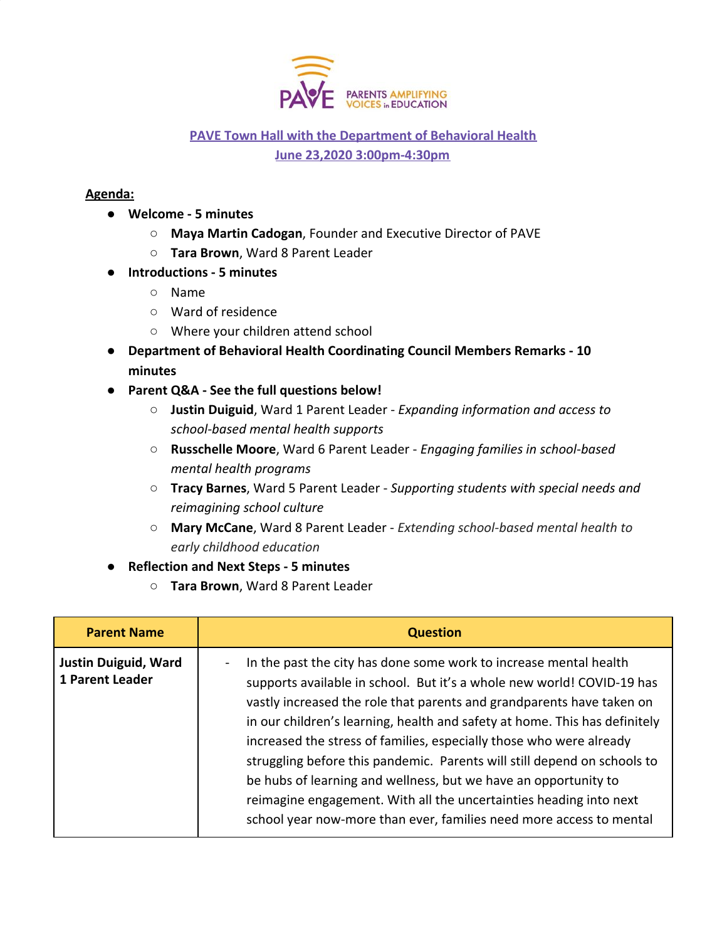

## **PAVE Town Hall with the Department of Behavioral Health June 23,2020 3:00pm-4:30pm**

## **Agenda:**

- **Welcome 5 minutes**
	- **Maya Martin Cadogan**, Founder and Executive Director of PAVE
	- **Tara Brown**, Ward 8 Parent Leader
- **Introductions 5 minutes**
	- Name
	- Ward of residence
	- Where your children attend school
- **Department of Behavioral Health Coordinating Council Members Remarks 10 minutes**
- **● Parent Q&A See the full questions below!**
	- **Justin Duiguid**, Ward 1 Parent Leader *Expanding information and access to school-based mental health supports*
	- **Russchelle Moore**, Ward 6 Parent Leader *Engaging families in school-based mental health programs*
	- **Tracy Barnes**, Ward 5 Parent Leader *Supporting students with special needs and reimagining school culture*
	- **○ Mary McCane**, Ward 8 Parent Leader *Extending school-based mental health to early childhood education*
- **Reflection and Next Steps 5 minutes**
	- **Tara Brown**, Ward 8 Parent Leader

| <b>Parent Name</b>                                    | <b>Question</b>                                                                                                                                                                                                                                                                                                                                                                                                                                                                                                                                                                                                                                                       |
|-------------------------------------------------------|-----------------------------------------------------------------------------------------------------------------------------------------------------------------------------------------------------------------------------------------------------------------------------------------------------------------------------------------------------------------------------------------------------------------------------------------------------------------------------------------------------------------------------------------------------------------------------------------------------------------------------------------------------------------------|
| <b>Justin Duiguid, Ward</b><br><b>1 Parent Leader</b> | In the past the city has done some work to increase mental health<br>supports available in school. But it's a whole new world! COVID-19 has<br>vastly increased the role that parents and grandparents have taken on<br>in our children's learning, health and safety at home. This has definitely<br>increased the stress of families, especially those who were already<br>struggling before this pandemic. Parents will still depend on schools to<br>be hubs of learning and wellness, but we have an opportunity to<br>reimagine engagement. With all the uncertainties heading into next<br>school year now-more than ever, families need more access to mental |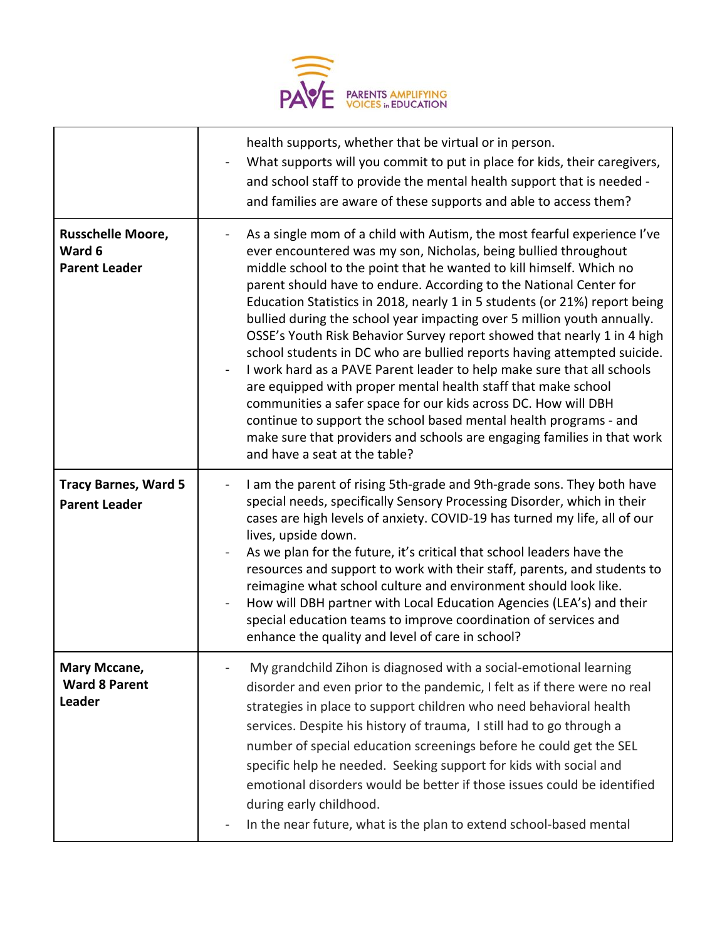

|                                                            | health supports, whether that be virtual or in person.<br>What supports will you commit to put in place for kids, their caregivers,<br>and school staff to provide the mental health support that is needed -<br>and families are aware of these supports and able to access them?                                                                                                                                                                                                                                                                                                                                                                                                                                                                                                                                                                                                                                                                                                                    |
|------------------------------------------------------------|-------------------------------------------------------------------------------------------------------------------------------------------------------------------------------------------------------------------------------------------------------------------------------------------------------------------------------------------------------------------------------------------------------------------------------------------------------------------------------------------------------------------------------------------------------------------------------------------------------------------------------------------------------------------------------------------------------------------------------------------------------------------------------------------------------------------------------------------------------------------------------------------------------------------------------------------------------------------------------------------------------|
| <b>Russchelle Moore,</b><br>Ward 6<br><b>Parent Leader</b> | As a single mom of a child with Autism, the most fearful experience I've<br>ever encountered was my son, Nicholas, being bullied throughout<br>middle school to the point that he wanted to kill himself. Which no<br>parent should have to endure. According to the National Center for<br>Education Statistics in 2018, nearly 1 in 5 students (or 21%) report being<br>bullied during the school year impacting over 5 million youth annually.<br>OSSE's Youth Risk Behavior Survey report showed that nearly 1 in 4 high<br>school students in DC who are bullied reports having attempted suicide.<br>I work hard as a PAVE Parent leader to help make sure that all schools<br>are equipped with proper mental health staff that make school<br>communities a safer space for our kids across DC. How will DBH<br>continue to support the school based mental health programs - and<br>make sure that providers and schools are engaging families in that work<br>and have a seat at the table? |
| <b>Tracy Barnes, Ward 5</b><br><b>Parent Leader</b>        | I am the parent of rising 5th-grade and 9th-grade sons. They both have<br>special needs, specifically Sensory Processing Disorder, which in their<br>cases are high levels of anxiety. COVID-19 has turned my life, all of our<br>lives, upside down.<br>As we plan for the future, it's critical that school leaders have the<br>resources and support to work with their staff, parents, and students to<br>reimagine what school culture and environment should look like.<br>How will DBH partner with Local Education Agencies (LEA's) and their<br>special education teams to improve coordination of services and<br>enhance the quality and level of care in school?                                                                                                                                                                                                                                                                                                                          |
| Mary Mccane,<br><b>Ward 8 Parent</b><br>Leader             | My grandchild Zihon is diagnosed with a social-emotional learning<br>disorder and even prior to the pandemic, I felt as if there were no real<br>strategies in place to support children who need behavioral health<br>services. Despite his history of trauma, I still had to go through a<br>number of special education screenings before he could get the SEL<br>specific help he needed. Seeking support for kids with social and<br>emotional disorders would be better if those issues could be identified<br>during early childhood.<br>In the near future, what is the plan to extend school-based mental                                                                                                                                                                                                                                                                                                                                                                                    |